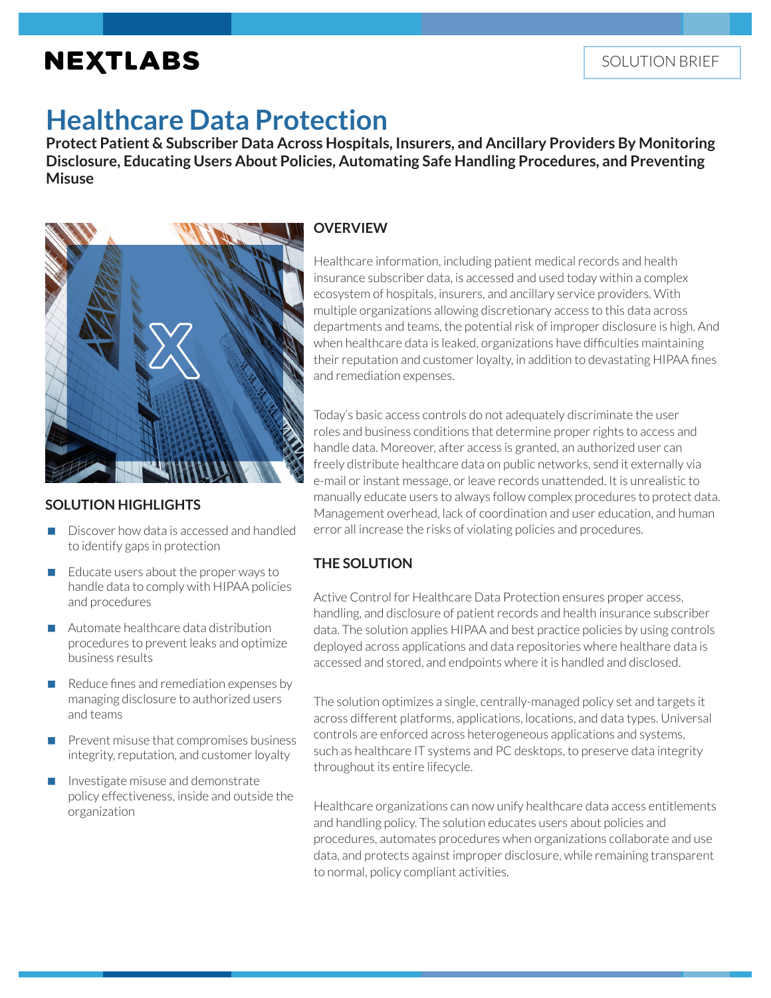# **NEXTLABS**

# **Healthcare Data Protection**

**Protect Patient & Subscriber Data Across Hospitals, Insurers, and Ancillary Providers By Monitoring Disclosure, Educating Users About Policies, Automating Safe Handling Procedures, and Preventing Misuse** 



## **SOLUTION HIGHLIGHTS**

- Discover how data is accessed and handled to identify gaps in protection
- Educate users about the proper ways to handle data to comply with HIPAA policies and procedures
- Automate healthcare data distribution procedures to prevent leaks and optimize business results
- Reduce fines and remediation expenses by managing disclosure to authorized users and teams
- Prevent misuse that compromises business integrity, reputation, and customer loyalty
- Investigate misuse and demonstrate policy effectiveness, inside and outside the organization

## **OVERVIEW**

Healthcare information, including patient medical records and health insurance subscriber data, is accessed and used today within a complex ecosystem of hospitals, insurers, and ancillary service providers. With multiple organizations allowing discretionary access to this data across departments and teams, the potential risk of improper disclosure is high. And when healthcare data is leaked, organizations have difficulties maintaining their reputation and customer loyalty, in addition to devastating HIPAA fines and remediation expenses.

Today's basic access controls do not adequately discriminate the user roles and business conditions that determine proper rights to access and handle data. Moreover, after access is granted, an authorized user can freely distribute healthcare data on public networks, send it externally via e-mail or instant message, or leave records unattended. It is unrealistic to manually educate users to always follow complex procedures to protect data. Management overhead, lack of coordination and user education, and human error all increase the risks of violating policies and procedures.

# **THE SOLUTION**

Active Control for Healthcare Data Protection ensures proper access, handling, and disclosure of patient records and health insurance subscriber data. The solution applies HIPAA and best practice policies by using controls deployed across applications and data repositories where healthare data is accessed and stored, and endpoints where it is handled and disclosed.

The solution optimizes a single, centrally-managed policy set and targets it across different platforms, applications, locations, and data types. Universal controls are enforced across heterogeneous applications and systems, such as healthcare IT systems and PC desktops, to preserve data integrity throughout its entire lifecycle.

Healthcare organizations can now unify healthcare data access entitlements and handling policy. The solution educates users about policies and procedures, automates procedures when organizations collaborate and use data, and protects against improper disclosure, while remaining transparent to normal, policy compliant activities.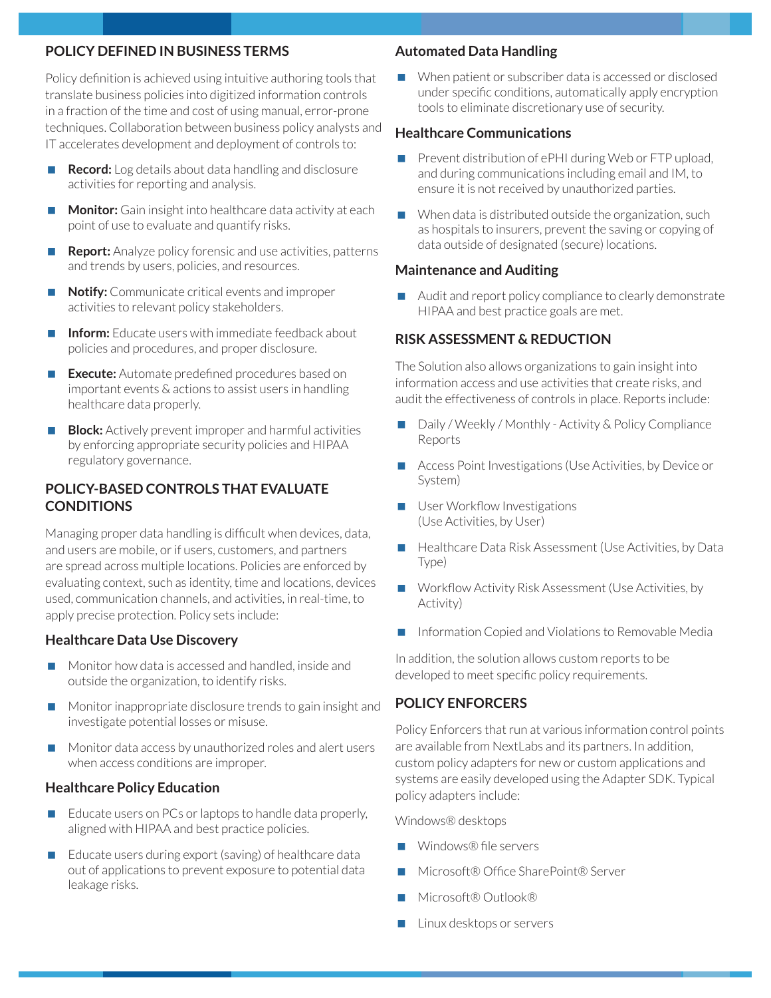#### **POLICY DEFINED IN BUSINESS TERMS**

Policy definition is achieved using intuitive authoring tools that translate business policies into digitized information controls in a fraction of the time and cost of using manual, error-prone techniques. Collaboration between business policy analysts and IT accelerates development and deployment of controls to:

- **Record:** Log details about data handling and disclosure activities for reporting and analysis.
- **Monitor:** Gain insight into healthcare data activity at each point of use to evaluate and quantify risks.
- **Report:** Analyze policy forensic and use activities, patterns and trends by users, policies, and resources.
- **Notify:** Communicate critical events and improper activities to relevant policy stakeholders.
- **Inform:** Educate users with immediate feedback about policies and procedures, and proper disclosure.
- **Execute:** Automate predefined procedures based on important events & actions to assist users in handling healthcare data properly.
- **Block:** Actively prevent improper and harmful activities by enforcing appropriate security policies and HIPAA regulatory governance.

## **POLICY-BASED CONTROLS THAT EVALUATE CONDITIONS**

Managing proper data handling is difficult when devices, data, and users are mobile, or if users, customers, and partners are spread across multiple locations. Policies are enforced by evaluating context, such as identity, time and locations, devices used, communication channels, and activities, in real-time, to apply precise protection. Policy sets include:

#### **Healthcare Data Use Discovery**

- Monitor how data is accessed and handled, inside and outside the organization, to identify risks.
- Monitor inappropriate disclosure trends to gain insight and investigate potential losses or misuse.
- Monitor data access by unauthorized roles and alert users when access conditions are improper.

#### **Healthcare Policy Education**

- Educate users on PCs or laptops to handle data properly, aligned with HIPAA and best practice policies.
- Educate users during export (saving) of healthcare data out of applications to prevent exposure to potential data leakage risks.

#### **Automated Data Handling**

When patient or subscriber data is accessed or disclosed under specific conditions, automatically apply encryption tools to eliminate discretionary use of security.

#### **Healthcare Communications**

- Prevent distribution of ePHI during Web or FTP upload, and during communications including email and IM, to ensure it is not received by unauthorized parties.
- When data is distributed outside the organization, such as hospitals to insurers, prevent the saving or copying of data outside of designated (secure) locations.

#### **Maintenance and Auditing**

 Audit and report policy compliance to clearly demonstrate HIPAA and best practice goals are met.

#### **RISK ASSESSMENT & REDUCTION**

The Solution also allows organizations to gain insight into information access and use activities that create risks, and audit the effectiveness of controls in place. Reports include:

- Daily / Weekly / Monthly Activity & Policy Compliance Reports
- Access Point Investigations (Use Activities, by Device or System)
- **User Workflow Investigations** (Use Activities, by User)
- Healthcare Data Risk Assessment (Use Activities, by Data Type)
- Workflow Activity Risk Assessment (Use Activities, by Activity)
- Information Copied and Violations to Removable Media

In addition, the solution allows custom reports to be developed to meet specific policy requirements.

### **POLICY ENFORCERS**

Policy Enforcers that run at various information control points are available from NextLabs and its partners. In addition, custom policy adapters for new or custom applications and systems are easily developed using the Adapter SDK. Typical policy adapters include:

Windows® desktops

- Windows® file servers
- Microsoft® Office SharePoint® Server
- Microsoft® Outlook®
- Linux desktops or servers